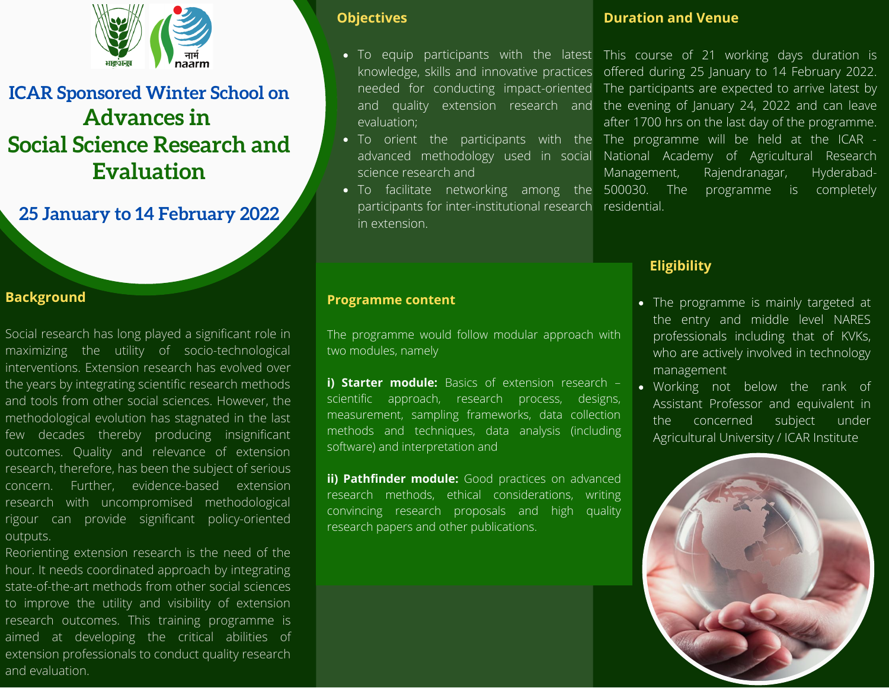

# **ICAR Sponsored Winter School on Advances in Social Science Research and Evaluation**

**25 January to 14 February 2022**

## **Background**

Social research has long played a significant role in maximizing the utility of socio-technological interventions. Extension research has evolved over the years by integrating scientific research methods and tools from other social sciences. However, the methodological evolution has stagnated in the last few decades thereby producing insignificant outcomes. Quality and relevance of extension research, therefore, has been the subject of serious concern. Further, evidence-based extension research with uncompromised methodological rigour can provide significant policy-oriented outputs.

Reorienting extension research is the need of the hour. It needs coordinated approach by integrating state-of-the-art methods from other social sciences to improve the utility and visibility of extension research outcomes. This training programme is aimed at developing the critical abilities of extension professionals to conduct quality research and evaluation.

#### **Objectives**

- evaluation;
- science research and
- To facilitate networking among the 500030. The participants for inter-institutional research residential. in extension.

#### **Duration and Venue**

To equip participants with the latest This course of 21 working days duration is knowledge, skills and innovative practices offered during 25 January to 14 February 2022. needed for conducting impact-oriented The participants are expected to arrive latest by and quality extension research and the evening of January 24, 2022 and can leave To orient the participants with the The programme will be held at the ICAR advanced methodology used in social National Academy of Agricultural Research after 1700 hrs on the last day of the programme. Management, Rajendranagar, Hyderabadprogramme is completely

## **Eligibility**

- The programme is mainly targeted at the entry and middle level NARES professionals including that of KVKs, who are actively involved in technology management
- Working not below the rank of Assistant Professor and equivalent in the concerned subject under Agricultural University / ICAR Institute



#### **Programme content**

The programme would follow modular approach with two modules, namely

**i) Starter module:** Basics of extension research – scientific approach, research process, designs, measurement, sampling frameworks, data collection methods and techniques, data analysis (including software) and interpretation and

**ii) Pathfinder module:** Good practices on advanced research methods, ethical considerations, writing convincing research proposals and high quality research papers and other publications.